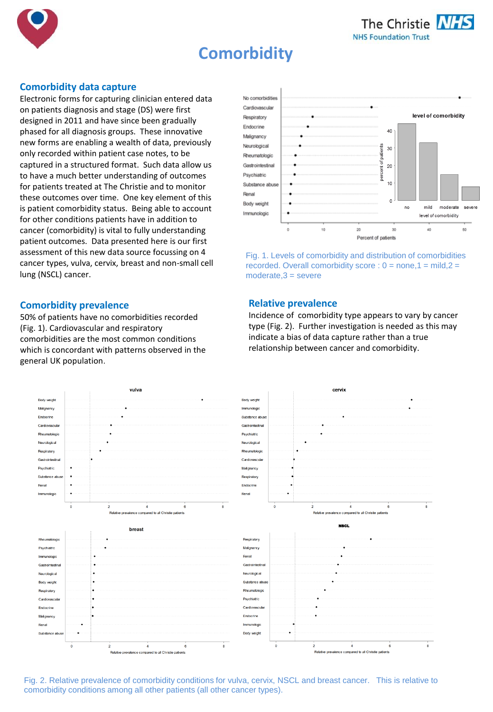



# **Comorbidity**

## **Comorbidity data capture**

Electronic forms for capturing clinician entered data on patients diagnosis and stage (DS) were first designed in 2011 and have since been gradually phased for all diagnosis groups. These innovative new forms are enabling a wealth of data, previously only recorded within patient case notes, to be captured in a structured format. Such data allow us to have a much better understanding of outcomes for patients treated at The Christie and to monitor these outcomes over time. One key element of this is patient comorbidity status. Being able to account for other conditions patients have in addition to cancer (comorbidity) is vital to fully understanding patient outcomes. Data presented here is our first assessment of this new data source focussing on 4 cancer types, vulva, cervix, breast and non-small cell lung (NSCL) cancer.

#### **Comorbidity prevalence**

50% of patients have no comorbidities recorded (Fig. 1). Cardiovascular and respiratory comorbidities are the most common conditions which is concordant with patterns observed in the general UK population.



Fig. 1. Levels of comorbidity and distribution of comorbidities recorded. Overall comorbidity score :  $0 =$  none,  $1 =$  mild,  $2 =$ moderate,3 = severe

## **Relative prevalence**

Incidence of comorbidity type appears to vary by cancer type (Fig. 2). Further investigation is needed as this may indicate a bias of data capture rather than a true relationship between cancer and comorbidity.



Fig. 2. Relative prevalence of comorbidity conditions for vulva, cervix, NSCL and breast cancer. This is relative to comorbidity conditions among all other patients (all other cancer types).